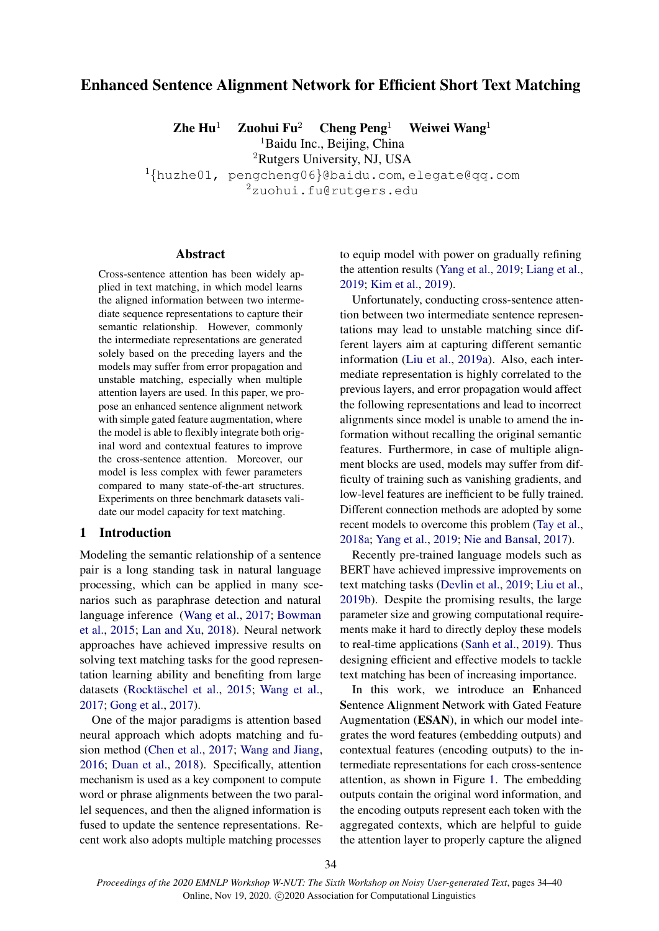# Enhanced Sentence Alignment Network for Efficient Short Text Matching

Zhe Hu<sup>1</sup> Zuohui Fu<sup>2</sup> Cheng Peng<sup>1</sup> Weiwei Wang<sup>1</sup>

<sup>1</sup>Baidu Inc., Beijing, China

<sup>2</sup>Rutgers University, NJ, USA

 $1$ {huzhe01, pengcheng06}@baidu.com, elegate@qq.com

<sup>2</sup>zuohui.fu@rutgers.edu

## Abstract

Cross-sentence attention has been widely applied in text matching, in which model learns the aligned information between two intermediate sequence representations to capture their semantic relationship. However, commonly the intermediate representations are generated solely based on the preceding layers and the models may suffer from error propagation and unstable matching, especially when multiple attention layers are used. In this paper, we propose an enhanced sentence alignment network with simple gated feature augmentation, where the model is able to flexibly integrate both original word and contextual features to improve the cross-sentence attention. Moreover, our model is less complex with fewer parameters compared to many state-of-the-art structures. Experiments on three benchmark datasets validate our model capacity for text matching.

#### 1 Introduction

Modeling the semantic relationship of a sentence pair is a long standing task in natural language processing, which can be applied in many scenarios such as paraphrase detection and natural language inference [\(Wang et al.,](#page-6-0) [2017;](#page-6-0) [Bowman](#page-5-0) [et al.,](#page-5-0) [2015;](#page-5-0) [Lan and Xu,](#page-5-1) [2018\)](#page-5-1). Neural network approaches have achieved impressive results on solving text matching tasks for the good representation learning ability and benefiting from large datasets (Rocktäschel et al., [2015;](#page-6-1) [Wang et al.,](#page-6-0) [2017;](#page-6-0) [Gong et al.,](#page-5-2) [2017\)](#page-5-2).

One of the major paradigms is attention based neural approach which adopts matching and fusion method [\(Chen et al.,](#page-5-3) [2017;](#page-5-3) [Wang and Jiang,](#page-6-2) [2016;](#page-6-2) [Duan et al.,](#page-5-4) [2018\)](#page-5-4). Specifically, attention mechanism is used as a key component to compute word or phrase alignments between the two parallel sequences, and then the aligned information is fused to update the sentence representations. Recent work also adopts multiple matching processes

to equip model with power on gradually refining the attention results [\(Yang et al.,](#page-6-3) [2019;](#page-6-3) [Liang et al.,](#page-5-5) [2019;](#page-5-5) [Kim et al.,](#page-5-6) [2019\)](#page-5-6).

Unfortunately, conducting cross-sentence attention between two intermediate sentence representations may lead to unstable matching since different layers aim at capturing different semantic information [\(Liu et al.,](#page-5-7) [2019a\)](#page-5-7). Also, each intermediate representation is highly correlated to the previous layers, and error propagation would affect the following representations and lead to incorrect alignments since model is unable to amend the information without recalling the original semantic features. Furthermore, in case of multiple alignment blocks are used, models may suffer from difficulty of training such as vanishing gradients, and low-level features are inefficient to be fully trained. Different connection methods are adopted by some recent models to overcome this problem [\(Tay et al.,](#page-6-4) [2018a;](#page-6-4) [Yang et al.,](#page-6-3) [2019;](#page-6-3) [Nie and Bansal,](#page-5-8) [2017\)](#page-5-8).

Recently pre-trained language models such as BERT have achieved impressive improvements on text matching tasks [\(Devlin et al.,](#page-5-9) [2019;](#page-5-9) [Liu et al.,](#page-5-10) [2019b\)](#page-5-10). Despite the promising results, the large parameter size and growing computational requirements make it hard to directly deploy these models to real-time applications [\(Sanh et al.,](#page-6-5) [2019\)](#page-6-5). Thus designing efficient and effective models to tackle text matching has been of increasing importance.

In this work, we introduce an Enhanced Sentence Alignment Network with Gated Feature Augmentation (ESAN), in which our model integrates the word features (embedding outputs) and contextual features (encoding outputs) to the intermediate representations for each cross-sentence attention, as shown in Figure [1.](#page-1-0) The embedding outputs contain the original word information, and the encoding outputs represent each token with the aggregated contexts, which are helpful to guide the attention layer to properly capture the aligned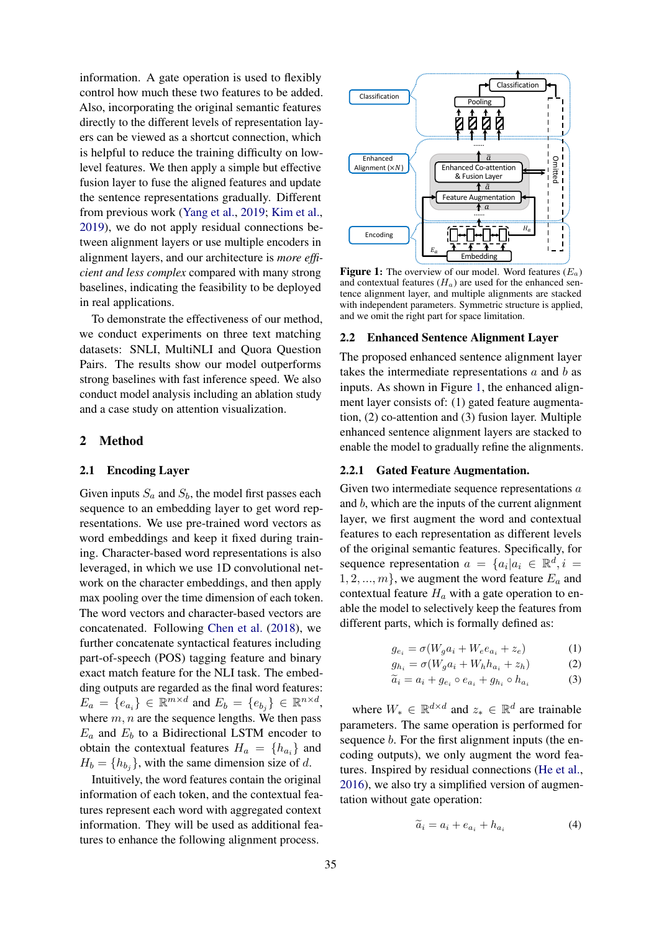information. A gate operation is used to flexibly control how much these two features to be added. Also, incorporating the original semantic features directly to the different levels of representation layers can be viewed as a shortcut connection, which is helpful to reduce the training difficulty on lowlevel features. We then apply a simple but effective fusion layer to fuse the aligned features and update the sentence representations gradually. Different from previous work [\(Yang et al.,](#page-6-3) [2019;](#page-6-3) [Kim et al.,](#page-5-6) [2019\)](#page-5-6), we do not apply residual connections between alignment layers or use multiple encoders in alignment layers, and our architecture is *more efficient and less complex* compared with many strong baselines, indicating the feasibility to be deployed in real applications.

To demonstrate the effectiveness of our method, we conduct experiments on three text matching datasets: SNLI, MultiNLI and Quora Question Pairs. The results show our model outperforms strong baselines with fast inference speed. We also conduct model analysis including an ablation study and a case study on attention visualization.

# 2 Method

#### 2.1 Encoding Layer

Given inputs  $S_a$  and  $S_b$ , the model first passes each sequence to an embedding layer to get word representations. We use pre-trained word vectors as word embeddings and keep it fixed during training. Character-based word representations is also leveraged, in which we use 1D convolutional network on the character embeddings, and then apply max pooling over the time dimension of each token. The word vectors and character-based vectors are concatenated. Following [Chen et al.](#page-5-11) [\(2018\)](#page-5-11), we further concatenate syntactical features including part-of-speech (POS) tagging feature and binary exact match feature for the NLI task. The embedding outputs are regarded as the final word features:  $E_a = \{e_{a_i}\}\in \mathbb{R}^{m \times d}$  and  $E_b = \{e_{b_j}\}\in \mathbb{R}^{n \times d}$ , where  $m, n$  are the sequence lengths. We then pass  $E_a$  and  $E_b$  to a Bidirectional LSTM encoder to obtain the contextual features  $H_a = \{h_{a_i}\}\$ and  $H_b = \{h_{b_j}\}\,$  with the same dimension size of d.

Intuitively, the word features contain the original information of each token, and the contextual features represent each word with aggregated context information. They will be used as additional features to enhance the following alignment process.

<span id="page-1-0"></span>

**Figure 1:** The overview of our model. Word features  $(E_a)$ and contextual features  $(H_a)$  are used for the enhanced sentence alignment layer, and multiple alignments are stacked with independent parameters. Symmetric structure is applied, and we omit the right part for space limitation.

#### 2.2 Enhanced Sentence Alignment Layer

The proposed enhanced sentence alignment layer takes the intermediate representations  $a$  and  $b$  as inputs. As shown in Figure [1,](#page-1-0) the enhanced alignment layer consists of: (1) gated feature augmentation, (2) co-attention and (3) fusion layer. Multiple enhanced sentence alignment layers are stacked to enable the model to gradually refine the alignments.

#### 2.2.1 Gated Feature Augmentation.

Given two intermediate sequence representations a and b, which are the inputs of the current alignment layer, we first augment the word and contextual features to each representation as different levels of the original semantic features. Specifically, for sequence representation  $a = \{a_i | a_i \in \mathbb{R}^d, i =$  $1, 2, ..., m$ , we augment the word feature  $E_a$  and contextual feature  $H_a$  with a gate operation to enable the model to selectively keep the features from different parts, which is formally defined as:

$$
g_{e_i} = \sigma(W_g a_i + W_e e_{a_i} + z_e)
$$
 (1)

$$
g_{h_i} = \sigma(W_g a_i + W_h h_{a_i} + z_h)
$$
 (2)

$$
\widetilde{a}_i = a_i + g_{e_i} \circ e_{a_i} + g_{h_i} \circ h_{a_i} \tag{3}
$$

where  $W_* \in \mathbb{R}^{d \times d}$  and  $z_* \in \mathbb{R}^d$  are trainable parameters. The same operation is performed for sequence *b*. For the first alignment inputs (the encoding outputs), we only augment the word features. Inspired by residual connections [\(He et al.,](#page-5-12) [2016\)](#page-5-12), we also try a simplified version of augmentation without gate operation:

<span id="page-1-1"></span>
$$
\widetilde{a}_i = a_i + e_{a_i} + h_{a_i} \tag{4}
$$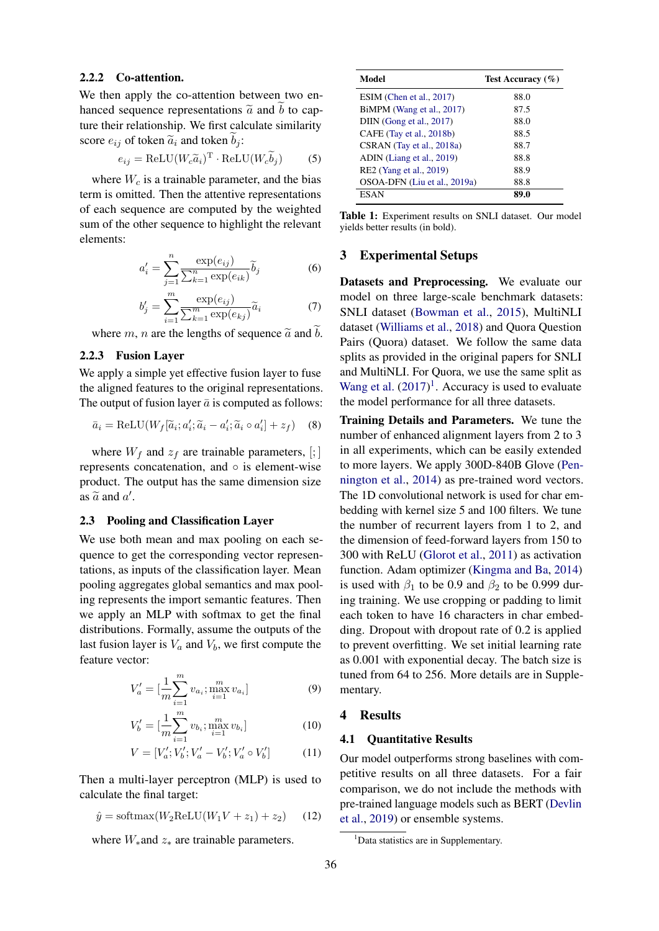### 2.2.2 Co-attention.

We then apply the co-attention between two enhanced sequence representations  $\tilde{a}$  and b to capture their relationship. We first calculate similarity score  $e_{ij}$  of token  $\tilde{a}_i$  and token  $b_i$ :

$$
e_{ij} = \text{ReLU}(W_c \tilde{a}_i)^{\text{T}} \cdot \text{ReLU}(W_c \tilde{b}_j)
$$
 (5)

where  $W_c$  is a trainable parameter, and the bias term is omitted. Then the attentive representations of each sequence are computed by the weighted sum of the other sequence to highlight the relevant elements:

$$
a'_{i} = \sum_{j=1}^{n} \frac{\exp(e_{ij})}{\sum_{k=1}^{n} \exp(e_{ik})} \widetilde{b}_{j}
$$
 (6)

$$
b'_{j} = \sum_{i=1}^{m} \frac{\exp(e_{ij})}{\sum_{k=1}^{m} \exp(e_{kj})} \widetilde{a}_{i}
$$
 (7)

where m, n are the lengths of sequence  $\tilde{a}$  and  $\tilde{b}$ .

# 2.2.3 Fusion Layer

We apply a simple yet effective fusion layer to fuse the aligned features to the original representations. The output of fusion layer  $\bar{a}$  is computed as follows:

$$
\bar{a}_i = \text{ReLU}(W_f[\tilde{a}_i; a'_i; \tilde{a}_i - a'_i; \tilde{a}_i \circ a'_i] + z_f) \quad (8)
$$

where  $W_f$  and  $z_f$  are trainable parameters, [;] represents concatenation, and ◦ is element-wise product. The output has the same dimension size as  $\tilde{a}$  and  $a'$ .

#### 2.3 Pooling and Classification Layer

We use both mean and max pooling on each sequence to get the corresponding vector representations, as inputs of the classification layer. Mean pooling aggregates global semantics and max pooling represents the import semantic features. Then we apply an MLP with softmax to get the final distributions. Formally, assume the outputs of the last fusion layer is  $V_a$  and  $V_b$ , we first compute the feature vector:

$$
V_a' = \left[\frac{1}{m} \sum_{i=1}^m v_{a_i}; \max_{i=1}^m v_{a_i}\right]
$$
 (9)

$$
V'_{b} = \left[\frac{1}{m} \sum_{i=1}^{m} v_{b_i}; \max_{i=1}^{m} v_{b_i}\right]
$$
 (10)

$$
V = [V'_a; V'_b; V'_a - V'_b; V'_a \circ V'_b]
$$
 (11)

Then a multi-layer perceptron (MLP) is used to calculate the final target:

$$
\hat{y} = \text{softmax}(W_2 \text{ReLU}(W_1 V + z_1) + z_2) \tag{12}
$$

where  $W_*$  and  $z_*$  are trainable parameters.

<span id="page-2-1"></span>

| Model                        | Test Accuracy $(\% )$ |
|------------------------------|-----------------------|
| $ESIM$ (Chen et al., 2017)   | 88.0                  |
| BiMPM (Wang et al., 2017)    | 87.5                  |
| DIIN (Gong et al., 2017)     | 88.0                  |
| CAFE (Tay et al., 2018b)     | 88.5                  |
| CSRAN (Tay et al., 2018a)    | 88.7                  |
| ADIN (Liang et al., 2019)    | 88.8                  |
| RE2 (Yang et al., 2019)      | 88.9                  |
| OSOA-DFN (Liu et al., 2019a) | 88.8                  |
| ESAN                         | 89.0                  |

Table 1: Experiment results on SNLI dataset. Our model yields better results (in bold).

## 3 Experimental Setups

Datasets and Preprocessing. We evaluate our model on three large-scale benchmark datasets: SNLI dataset [\(Bowman et al.,](#page-5-0) [2015\)](#page-5-0), MultiNLI dataset [\(Williams et al.,](#page-6-7) [2018\)](#page-6-7) and Quora Question Pairs (Quora) dataset. We follow the same data splits as provided in the original papers for SNLI and MultiNLI. For Quora, we use the same split as [Wang et al.](#page-6-0)  $(2017)^1$  $(2017)^1$  $(2017)^1$ . Accuracy is used to evaluate the model performance for all three datasets.

Training Details and Parameters. We tune the number of enhanced alignment layers from 2 to 3 in all experiments, which can be easily extended to more layers. We apply 300D-840B Glove [\(Pen](#page-6-8)[nington et al.,](#page-6-8) [2014\)](#page-6-8) as pre-trained word vectors. The 1D convolutional network is used for char embedding with kernel size 5 and 100 filters. We tune the number of recurrent layers from 1 to 2, and the dimension of feed-forward layers from 150 to 300 with ReLU [\(Glorot et al.,](#page-5-13) [2011\)](#page-5-13) as activation function. Adam optimizer [\(Kingma and Ba,](#page-5-14) [2014\)](#page-5-14) is used with  $\beta_1$  to be 0.9 and  $\beta_2$  to be 0.999 during training. We use cropping or padding to limit each token to have 16 characters in char embedding. Dropout with dropout rate of 0.2 is applied to prevent overfitting. We set initial learning rate as 0.001 with exponential decay. The batch size is tuned from 64 to 256. More details are in Supplementary.

## 4 Results

#### 4.1 Quantitative Results

Our model outperforms strong baselines with competitive results on all three datasets. For a fair comparison, we do not include the methods with pre-trained language models such as BERT [\(Devlin](#page-5-9) [et al.,](#page-5-9) [2019\)](#page-5-9) or ensemble systems.

<span id="page-2-0"></span><sup>&</sup>lt;sup>1</sup>Data statistics are in Supplementary.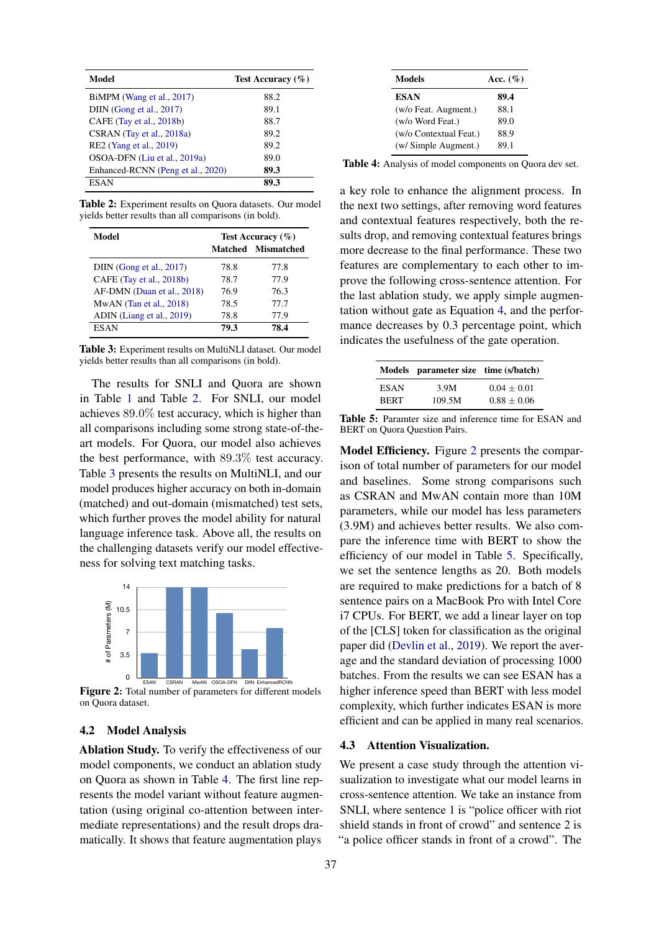<span id="page-3-0"></span>

| Model                             | Test Accuracy $(\% )$ |
|-----------------------------------|-----------------------|
| BiMPM (Wang et al., 2017)         | 88.2                  |
| DIIN (Gong et al., 2017)          | 89.1                  |
| CAFE (Tay et al., 2018b)          | 88.7                  |
| CSRAN (Tay et al., 2018a)         | 89.2                  |
| RE2 (Yang et al., 2019)           | 89.2                  |
| OSOA-DFN (Liu et al., 2019a)      | 89.0                  |
| Enhanced-RCNN (Peng et al., 2020) | 89.3                  |
| <b>ESAN</b>                       | 89.3                  |

Table 2: Experiment results on Ouora datasets. Our model yields better results than all comparisons (in bold).

<span id="page-3-1"></span>

| Model                      | Test Accuracy $(\% )$ |                    |
|----------------------------|-----------------------|--------------------|
|                            |                       | Matched Mismatched |
| DIIN (Gong et al., 2017)   | 78.8                  | 77.8               |
| CAFE (Tay et al., 2018b)   | 78.7                  | 77.9               |
| AF-DMN (Duan et al., 2018) | 76.9                  | 76.3               |
| $MwAN$ (Tan et al., 2018)  | 78.5                  | 77.7               |
| ADIN (Liang et al., 2019)  | 78.8                  | 77.9               |
| ESAN                       | 79.3                  | 78.4               |

Table 3: Experiment results on MultiNLI dataset. Our model yields better results than all comparisons (in bold).

The results for SNLI and Quora are shown in Table [1](#page-2-1) and Table [2.](#page-3-0) For SNLI, our model achieves 89.0% test accuracy, which is higher than all comparisons including some strong state-of-theart models. For Quora, our model also achieves the best performance, with 89.3% test accuracy. Table [3](#page-3-1) presents the results on MultiNLI, and our model produces higher accuracy on both in-domain (matched) and out-domain (mismatched) test sets, which further proves the model ability for natural language inference task. Above all, the results on the challenging datasets verify our model effectiveness for solving text matching tasks.

<span id="page-3-3"></span>

Figure 2: Total number of parameters for different models on Quora dataset.

## 4.2 Model Analysis

Ablation Study. To verify the effectiveness of our model components, we conduct an ablation study on Quora as shown in Table [4.](#page-3-2) The first line represents the model variant without feature augmentation (using original co-attention between intermediate representations) and the result drops dramatically. It shows that feature augmentation plays

<span id="page-3-2"></span>

| Models                 | Acc. $(\%)$ |
|------------------------|-------------|
| <b>ESAN</b>            | 89.4        |
| (w/o Feat. Augment.)   | 88.1        |
| (w/o Word Feat.)       | 89.0        |
| (w/o Contextual Feat.) | 88.9        |
| (w/ Simple Augment.)   | 89.1        |

Table 4: Analysis of model components on Quora dev set.

a key role to enhance the alignment process. In the next two settings, after removing word features and contextual features respectively, both the results drop, and removing contextual features brings more decrease to the final performance. These two features are complementary to each other to improve the following cross-sentence attention. For the last ablation study, we apply simple augmentation without gate as Equation [4,](#page-1-1) and the performance decreases by 0.3 percentage point, which indicates the usefulness of the gate operation.

<span id="page-3-4"></span>

|             | Models parameter size time (s/batch) |                 |
|-------------|--------------------------------------|-----------------|
| <b>ESAN</b> | 3.9M                                 | $0.04 + 0.01$   |
| <b>RERT</b> | 109.5M                               | $0.88 \pm 0.06$ |

Table 5: Paramter size and inference time for ESAN and BERT on Quora Question Pairs.

Model Efficiency. Figure [2](#page-3-3) presents the comparison of total number of parameters for our model and baselines. Some strong comparisons such as CSRAN and MwAN contain more than 10M parameters, while our model has less parameters (3.9M) and achieves better results. We also compare the inference time with BERT to show the efficiency of our model in Table [5.](#page-3-4) Specifically, we set the sentence lengths as 20. Both models are required to make predictions for a batch of 8 sentence pairs on a MacBook Pro with Intel Core i7 CPUs. For BERT, we add a linear layer on top of the [CLS] token for classification as the original paper did [\(Devlin et al.,](#page-5-9) [2019\)](#page-5-9). We report the average and the standard deviation of processing 1000 batches. From the results we can see ESAN has a higher inference speed than BERT with less model complexity, which further indicates ESAN is more efficient and can be applied in many real scenarios.

## 4.3 Attention Visualization.

We present a case study through the attention visualization to investigate what our model learns in cross-sentence attention. We take an instance from SNLI, where sentence 1 is "police officer with riot shield stands in front of crowd" and sentence 2 is "a police officer stands in front of a crowd". The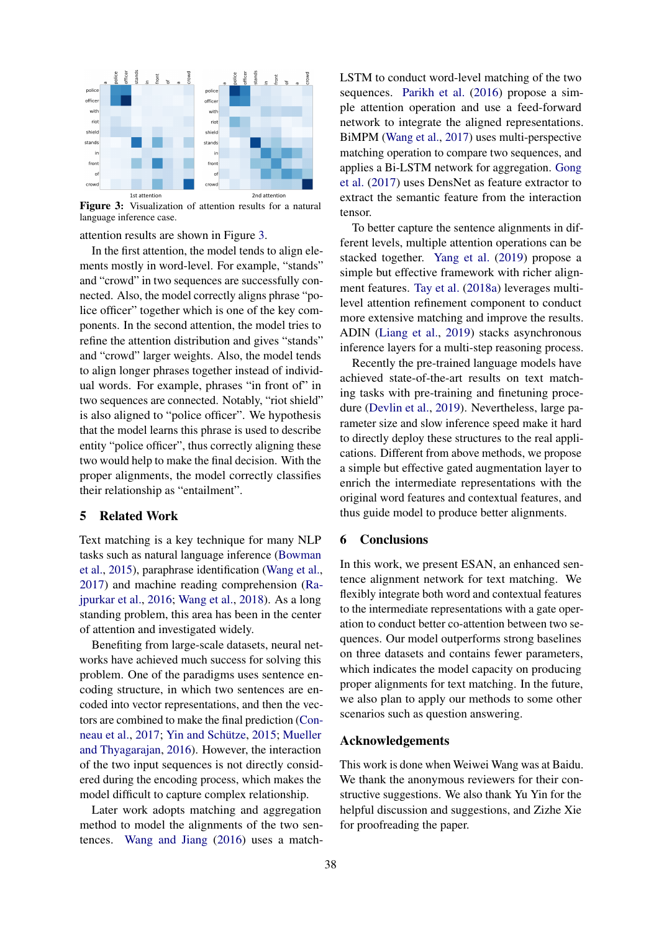<span id="page-4-0"></span>

Figure 3: Visualization of attention results for a natural language inference case.

attention results are shown in Figure [3.](#page-4-0)

In the first attention, the model tends to align elements mostly in word-level. For example, "stands" and "crowd" in two sequences are successfully connected. Also, the model correctly aligns phrase "police officer" together which is one of the key components. In the second attention, the model tries to refine the attention distribution and gives "stands" and "crowd" larger weights. Also, the model tends to align longer phrases together instead of individual words. For example, phrases "in front of" in two sequences are connected. Notably, "riot shield" is also aligned to "police officer". We hypothesis that the model learns this phrase is used to describe entity "police officer", thus correctly aligning these two would help to make the final decision. With the proper alignments, the model correctly classifies their relationship as "entailment".

# 5 Related Work

Text matching is a key technique for many NLP tasks such as natural language inference [\(Bowman](#page-5-0) [et al.,](#page-5-0) [2015\)](#page-5-0), paraphrase identification [\(Wang et al.,](#page-6-0) [2017\)](#page-6-0) and machine reading comprehension [\(Ra](#page-6-10)[jpurkar et al.,](#page-6-10) [2016;](#page-6-10) [Wang et al.,](#page-6-11) [2018\)](#page-6-11). As a long standing problem, this area has been in the center of attention and investigated widely.

Benefiting from large-scale datasets, neural networks have achieved much success for solving this problem. One of the paradigms uses sentence encoding structure, in which two sentences are encoded into vector representations, and then the vectors are combined to make the final prediction [\(Con](#page-5-16)[neau et al.,](#page-5-16) [2017;](#page-5-16) Yin and Schütze, [2015;](#page-6-12) [Mueller](#page-5-17) [and Thyagarajan,](#page-5-17) [2016\)](#page-5-17). However, the interaction of the two input sequences is not directly considered during the encoding process, which makes the model difficult to capture complex relationship.

Later work adopts matching and aggregation method to model the alignments of the two sentences. [Wang and Jiang](#page-6-2) [\(2016\)](#page-6-2) uses a matchLSTM to conduct word-level matching of the two sequences. [Parikh et al.](#page-5-18) [\(2016\)](#page-5-18) propose a simple attention operation and use a feed-forward network to integrate the aligned representations. BiMPM [\(Wang et al.,](#page-6-0) [2017\)](#page-6-0) uses multi-perspective matching operation to compare two sequences, and applies a Bi-LSTM network for aggregation. [Gong](#page-5-2) [et al.](#page-5-2) [\(2017\)](#page-5-2) uses DensNet as feature extractor to extract the semantic feature from the interaction tensor.

To better capture the sentence alignments in different levels, multiple attention operations can be stacked together. [Yang et al.](#page-6-3) [\(2019\)](#page-6-3) propose a simple but effective framework with richer alignment features. [Tay et al.](#page-6-4) [\(2018a\)](#page-6-4) leverages multilevel attention refinement component to conduct more extensive matching and improve the results. ADIN [\(Liang et al.,](#page-5-5) [2019\)](#page-5-5) stacks asynchronous inference layers for a multi-step reasoning process.

Recently the pre-trained language models have achieved state-of-the-art results on text matching tasks with pre-training and finetuning procedure [\(Devlin et al.,](#page-5-9) [2019\)](#page-5-9). Nevertheless, large parameter size and slow inference speed make it hard to directly deploy these structures to the real applications. Different from above methods, we propose a simple but effective gated augmentation layer to enrich the intermediate representations with the original word features and contextual features, and thus guide model to produce better alignments.

## 6 Conclusions

In this work, we present ESAN, an enhanced sentence alignment network for text matching. We flexibly integrate both word and contextual features to the intermediate representations with a gate operation to conduct better co-attention between two sequences. Our model outperforms strong baselines on three datasets and contains fewer parameters, which indicates the model capacity on producing proper alignments for text matching. In the future, we also plan to apply our methods to some other scenarios such as question answering.

#### Acknowledgements

This work is done when Weiwei Wang was at Baidu. We thank the anonymous reviewers for their constructive suggestions. We also thank Yu Yin for the helpful discussion and suggestions, and Zizhe Xie for proofreading the paper.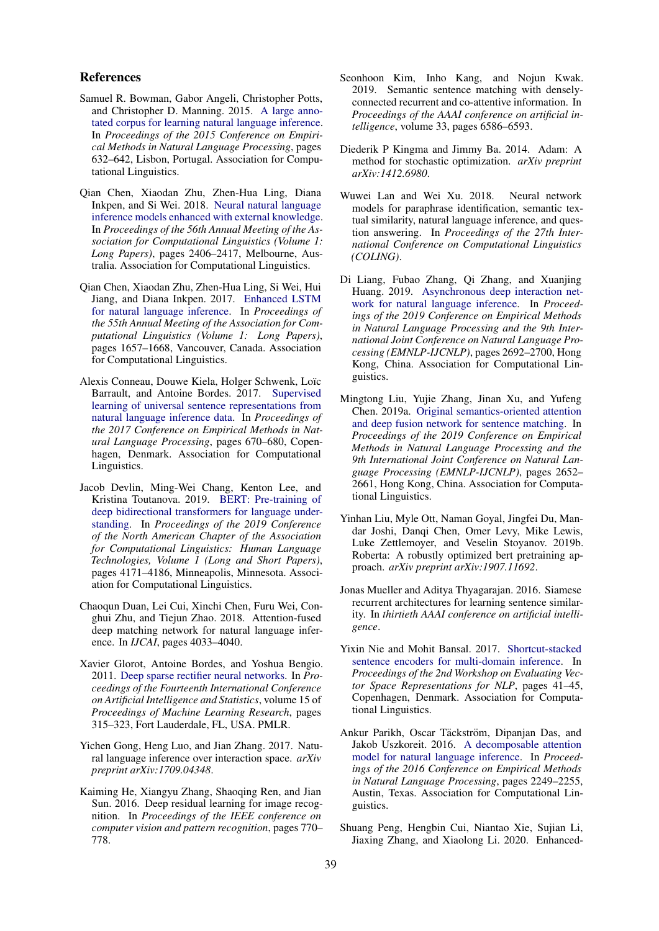#### References

- <span id="page-5-0"></span>Samuel R. Bowman, Gabor Angeli, Christopher Potts, and Christopher D. Manning. 2015. [A large anno](https://doi.org/10.18653/v1/D15-1075)[tated corpus for learning natural language inference.](https://doi.org/10.18653/v1/D15-1075) In *Proceedings of the 2015 Conference on Empirical Methods in Natural Language Processing*, pages 632–642, Lisbon, Portugal. Association for Computational Linguistics.
- <span id="page-5-11"></span>Qian Chen, Xiaodan Zhu, Zhen-Hua Ling, Diana Inkpen, and Si Wei. 2018. [Neural natural language](https://doi.org/10.18653/v1/P18-1224) [inference models enhanced with external knowledge.](https://doi.org/10.18653/v1/P18-1224) In *Proceedings of the 56th Annual Meeting of the Association for Computational Linguistics (Volume 1: Long Papers)*, pages 2406–2417, Melbourne, Australia. Association for Computational Linguistics.
- <span id="page-5-3"></span>Qian Chen, Xiaodan Zhu, Zhen-Hua Ling, Si Wei, Hui Jiang, and Diana Inkpen. 2017. [Enhanced LSTM](https://doi.org/10.18653/v1/P17-1152) [for natural language inference.](https://doi.org/10.18653/v1/P17-1152) In *Proceedings of the 55th Annual Meeting of the Association for Computational Linguistics (Volume 1: Long Papers)*, pages 1657–1668, Vancouver, Canada. Association for Computational Linguistics.
- <span id="page-5-16"></span>Alexis Conneau, Douwe Kiela, Holger Schwenk, Loïc Barrault, and Antoine Bordes. 2017. [Supervised](https://doi.org/10.18653/v1/D17-1070) [learning of universal sentence representations from](https://doi.org/10.18653/v1/D17-1070) [natural language inference data.](https://doi.org/10.18653/v1/D17-1070) In *Proceedings of the 2017 Conference on Empirical Methods in Natural Language Processing*, pages 670–680, Copenhagen, Denmark. Association for Computational Linguistics.
- <span id="page-5-9"></span>Jacob Devlin, Ming-Wei Chang, Kenton Lee, and Kristina Toutanova. 2019. [BERT: Pre-training of](https://doi.org/10.18653/v1/N19-1423) [deep bidirectional transformers for language under](https://doi.org/10.18653/v1/N19-1423)[standing.](https://doi.org/10.18653/v1/N19-1423) In *Proceedings of the 2019 Conference of the North American Chapter of the Association for Computational Linguistics: Human Language Technologies, Volume 1 (Long and Short Papers)*, pages 4171–4186, Minneapolis, Minnesota. Association for Computational Linguistics.
- <span id="page-5-4"></span>Chaoqun Duan, Lei Cui, Xinchi Chen, Furu Wei, Conghui Zhu, and Tiejun Zhao. 2018. Attention-fused deep matching network for natural language inference. In *IJCAI*, pages 4033–4040.
- <span id="page-5-13"></span>Xavier Glorot, Antoine Bordes, and Yoshua Bengio. 2011. [Deep sparse rectifier neural networks.](http://proceedings.mlr.press/v15/glorot11a.html) In *Proceedings of the Fourteenth International Conference on Artificial Intelligence and Statistics*, volume 15 of *Proceedings of Machine Learning Research*, pages 315–323, Fort Lauderdale, FL, USA. PMLR.
- <span id="page-5-2"></span>Yichen Gong, Heng Luo, and Jian Zhang. 2017. Natural language inference over interaction space. *arXiv preprint arXiv:1709.04348*.
- <span id="page-5-12"></span>Kaiming He, Xiangyu Zhang, Shaoqing Ren, and Jian Sun. 2016. Deep residual learning for image recognition. In *Proceedings of the IEEE conference on computer vision and pattern recognition*, pages 770– 778.
- <span id="page-5-6"></span>Seonhoon Kim, Inho Kang, and Nojun Kwak. 2019. Semantic sentence matching with denselyconnected recurrent and co-attentive information. In *Proceedings of the AAAI conference on artificial intelligence*, volume 33, pages 6586–6593.
- <span id="page-5-14"></span>Diederik P Kingma and Jimmy Ba. 2014. Adam: A method for stochastic optimization. *arXiv preprint arXiv:1412.6980*.
- <span id="page-5-1"></span>Wuwei Lan and Wei Xu. 2018. Neural network models for paraphrase identification, semantic textual similarity, natural language inference, and question answering. In *Proceedings of the 27th International Conference on Computational Linguistics (COLING)*.
- <span id="page-5-5"></span>Di Liang, Fubao Zhang, Qi Zhang, and Xuanjing Huang. 2019. [Asynchronous deep interaction net](https://doi.org/10.18653/v1/D19-1271)[work for natural language inference.](https://doi.org/10.18653/v1/D19-1271) In *Proceedings of the 2019 Conference on Empirical Methods in Natural Language Processing and the 9th International Joint Conference on Natural Language Processing (EMNLP-IJCNLP)*, pages 2692–2700, Hong Kong, China. Association for Computational Linguistics.
- <span id="page-5-7"></span>Mingtong Liu, Yujie Zhang, Jinan Xu, and Yufeng Chen. 2019a. [Original semantics-oriented attention](https://doi.org/10.18653/v1/D19-1267) [and deep fusion network for sentence matching.](https://doi.org/10.18653/v1/D19-1267) In *Proceedings of the 2019 Conference on Empirical Methods in Natural Language Processing and the 9th International Joint Conference on Natural Language Processing (EMNLP-IJCNLP)*, pages 2652– 2661, Hong Kong, China. Association for Computational Linguistics.
- <span id="page-5-10"></span>Yinhan Liu, Myle Ott, Naman Goyal, Jingfei Du, Mandar Joshi, Danqi Chen, Omer Levy, Mike Lewis, Luke Zettlemoyer, and Veselin Stoyanov. 2019b. Roberta: A robustly optimized bert pretraining approach. *arXiv preprint arXiv:1907.11692*.
- <span id="page-5-17"></span>Jonas Mueller and Aditya Thyagarajan. 2016. Siamese recurrent architectures for learning sentence similarity. In *thirtieth AAAI conference on artificial intelligence*.
- <span id="page-5-8"></span>Yixin Nie and Mohit Bansal. 2017. [Shortcut-stacked](https://doi.org/10.18653/v1/W17-5308) [sentence encoders for multi-domain inference.](https://doi.org/10.18653/v1/W17-5308) In *Proceedings of the 2nd Workshop on Evaluating Vector Space Representations for NLP*, pages 41–45, Copenhagen, Denmark. Association for Computational Linguistics.
- <span id="page-5-18"></span>Ankur Parikh, Oscar Täckström, Dipanjan Das, and Jakob Uszkoreit. 2016. [A decomposable attention](https://doi.org/10.18653/v1/D16-1244) [model for natural language inference.](https://doi.org/10.18653/v1/D16-1244) In *Proceedings of the 2016 Conference on Empirical Methods in Natural Language Processing*, pages 2249–2255, Austin, Texas. Association for Computational Linguistics.
- <span id="page-5-15"></span>Shuang Peng, Hengbin Cui, Niantao Xie, Sujian Li, Jiaxing Zhang, and Xiaolong Li. 2020. Enhanced-